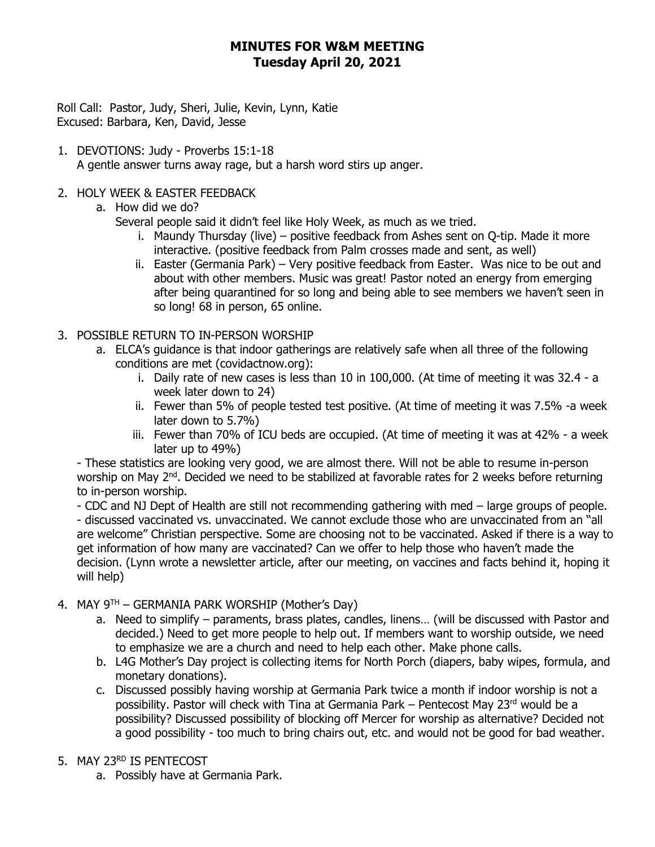### **MINUTES FOR W&M MEETING Tuesday April 20, 2021**

 Roll Call: Pastor, Judy, Sheri, Julie, Kevin, Lynn, Katie Excused: Barbara, Ken, David, Jesse

- 1. DEVOTIONS: Judy Proverbs 15:1-18 A gentle answer turns away rage, but a harsh word stirs up anger.
- 2. HOLY WEEK & EASTER FEEDBACK
	- a. How did we do?

Several people said it didn't feel like Holy Week, as much as we tried.

- i. Maundy Thursday (live) positive feedback from Ashes sent on Q-tip. Made it more interactive. (positive feedback from Palm crosses made and sent, as well)
- ii. Easter (Germania Park) Very positive feedback from Easter. Was nice to be out and about with other members. Music was great! Pastor noted an energy from emerging after being quarantined for so long and being able to see members we haven't seen in so long! 68 in person, 65 online.
- 3. POSSIBLE RETURN TO IN-PERSON WORSHIP
	- a. ELCA's guidance is that indoor gatherings are relatively safe when all three of the following conditions are met (covidactnow.org):
		- i. Daily rate of new cases is less than 10 in 100,000. (At time of meeting it was 32.4 a week later down to 24)
		- ii. Fewer than 5% of people tested test positive. (At time of meeting it was 7.5% -a week later down to 5.7%)
		- iii. Fewer than 70% of ICU beds are occupied. (At time of meeting it was at 42% a week later up to 49%)

- These statistics are looking very good, we are almost there. Will not be able to resume in-person worship on May 2<sup>nd</sup>. Decided we need to be stabilized at favorable rates for 2 weeks before returning to in-person worship.

- CDC and NJ Dept of Health are still not recommending gathering with med – large groups of people. - discussed vaccinated vs. unvaccinated. We cannot exclude those who are unvaccinated from an "all are welcome" Christian perspective. Some are choosing not to be vaccinated. Asked if there is a way to get information of how many are vaccinated? Can we offer to help those who haven't made the decision. (Lynn wrote a newsletter article, after our meeting, on vaccines and facts behind it, hoping it will help)

- 4. MAY  $9^{TH}$  GERMANIA PARK WORSHIP (Mother's Day)
	- a. Need to simplify paraments, brass plates, candles, linens… (will be discussed with Pastor and decided.) Need to get more people to help out. If members want to worship outside, we need to emphasize we are a church and need to help each other. Make phone calls.
	- b. L4G Mother's Day project is collecting items for North Porch (diapers, baby wipes, formula, and monetary donations).
	- c. Discussed possibly having worship at Germania Park twice a month if indoor worship is not a possibility. Pastor will check with Tina at Germania Park – Pentecost May 23rd would be a possibility? Discussed possibility of blocking off Mercer for worship as alternative? Decided not a good possibility - too much to bring chairs out, etc. and would not be good for bad weather.
- 5. MAY 23RD IS PENTECOST
	- a. Possibly have at Germania Park.